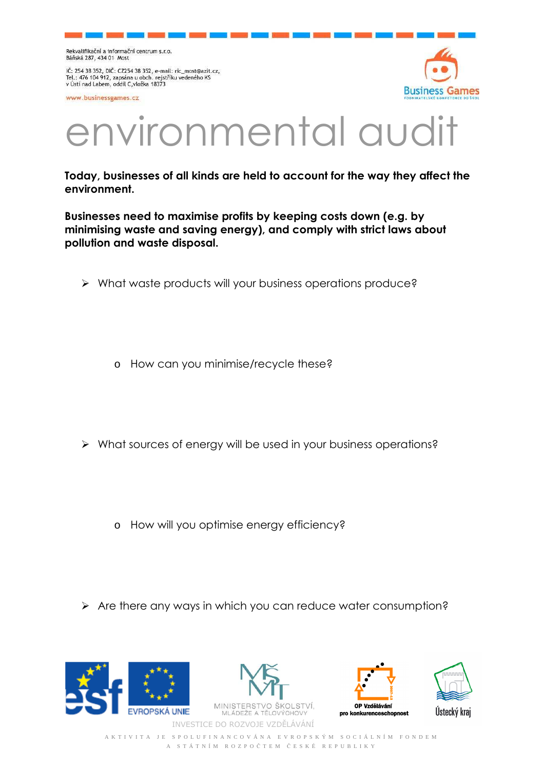Rekvalifikační a informační centrum s.r.o. Báňská 287, 434 01 Most

IČ: 254 38 352, DIČ: CZ254 38 352, e-mail: ric\_most@azit.cz,<br>Tel.: 476 104 912, zapsána u obch. rejstříku vedeného KS v Ústí nad Labem, oddíl C, vložka 18373

www.businessgames.cz



## environmental aud

**Today, businesses of all kinds are held to account for the way they affect the environment.** 

**Businesses need to maximise profits by keeping costs down (e.g. by minimising waste and saving energy), and comply with strict laws about pollution and waste disposal.** 

- What waste products will your business operations produce?
	- o How can you minimise/recycle these?
- What sources of energy will be used in your business operations?
	- o How will you optimise energy efficiency?
- $\triangleright$  Are there any ways in which you can reduce water consumption?









A K T I V I T A J E S P O L U F I N A N C O V Á N A E V R O P S K Ý M S O C I Á L N Í M F O N D E M A S T Á T N Í M R O Z P O Č T E M Č E S K É R E P U B L I K Y